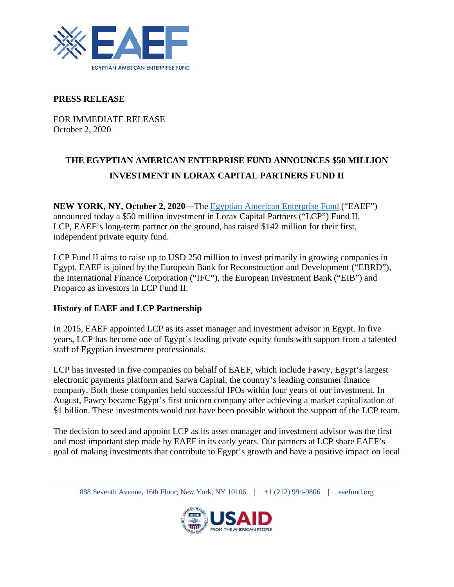

## **PRESS RELEASE**

FOR IMMEDIATE RELEASE October 2, 2020

# **THE EGYPTIAN AMERICAN ENTERPRISE FUND ANNOUNCES \$50 MILLION INVESTMENT IN LORAX CAPITAL PARTNERS FUND II**

**NEW YORK, NY, October 2, 2020—**The [Egyptian American Enterprise Fund](https://www.eaefund.org/) ("EAEF") announced today a \$50 million investment in Lorax Capital Partners ("LCP") Fund II. LCP, EAEF's long-term partner on the ground, has raised \$142 million for their first, independent private equity fund.

LCP Fund II aims to raise up to USD 250 million to invest primarily in growing companies in Egypt. EAEF is joined by the European Bank for Reconstruction and Development ("EBRD"), the International Finance Corporation ("IFC"), the European Investment Bank ("EIB") and Proparco as investors in LCP Fund II.

## **History of EAEF and LCP Partnership**

In 2015, EAEF appointed LCP as its asset manager and investment advisor in Egypt. In five years, LCP has become one of Egypt's leading private equity funds with support from a talented staff of Egyptian investment professionals.

LCP has invested in five companies on behalf of EAEF, which include Fawry, Egypt's largest electronic payments platform and Sarwa Capital, the country's leading consumer finance company. Both these companies held successful IPOs within four years of our investment. In August, Fawry became Egypt's first unicorn company after achieving a market capitalization of \$1 billion. These investments would not have been possible without the support of the LCP team.

The decision to seed and appoint LCP as its asset manager and investment advisor was the first and most important step made by EAEF in its early years. Our partners at LCP share EAEF's goal of making investments that contribute to Egypt's growth and have a positive impact on local

888 Seventh Avenue, 16th Floor; New York, NY 10106 | +1 (212) 994-9806 | eaefund.org

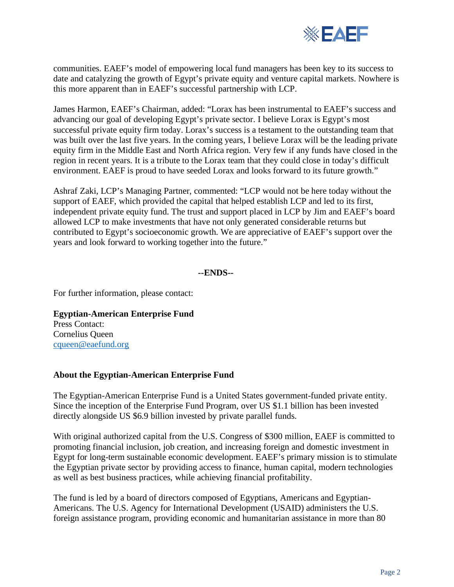

communities. EAEF's model of empowering local fund managers has been key to its success to date and catalyzing the growth of Egypt's private equity and venture capital markets. Nowhere is this more apparent than in EAEF's successful partnership with LCP.

James Harmon, EAEF's Chairman, added: "Lorax has been instrumental to EAEF's success and advancing our goal of developing Egypt's private sector. I believe Lorax is Egypt's most successful private equity firm today. Lorax's success is a testament to the outstanding team that was built over the last five years. In the coming years, I believe Lorax will be the leading private equity firm in the Middle East and North Africa region. Very few if any funds have closed in the region in recent years. It is a tribute to the Lorax team that they could close in today's difficult environment. EAEF is proud to have seeded Lorax and looks forward to its future growth."

Ashraf Zaki, LCP's Managing Partner, commented: "LCP would not be here today without the support of EAEF, which provided the capital that helped establish LCP and led to its first, independent private equity fund. The trust and support placed in LCP by Jim and EAEF's board allowed LCP to make investments that have not only generated considerable returns but contributed to Egypt's socioeconomic growth. We are appreciative of EAEF's support over the years and look forward to working together into the future."

#### **--ENDS--**

For further information, please contact:

#### **Egyptian-American Enterprise Fund**  Press Contact:

Cornelius Queen [cqueen@eaefund.org](mailto:cqueen@eaefund.org)

### **About the Egyptian-American Enterprise Fund**

The Egyptian-American Enterprise Fund is a United States government-funded private entity. Since the inception of the Enterprise Fund Program, over US \$1.1 billion has been invested directly alongside US \$6.9 billion invested by private parallel funds.

With original authorized capital from the U.S. Congress of \$300 million, EAEF is committed to promoting financial inclusion, job creation, and increasing foreign and domestic investment in Egypt for long-term sustainable economic development. EAEF's primary mission is to stimulate the Egyptian private sector by providing access to finance, human capital, modern technologies as well as best business practices, while achieving financial profitability.

The fund is led by a board of directors composed of Egyptians, Americans and Egyptian-Americans. The U.S. Agency for International Development (USAID) administers the U.S. foreign assistance program, providing economic and humanitarian assistance in more than 80